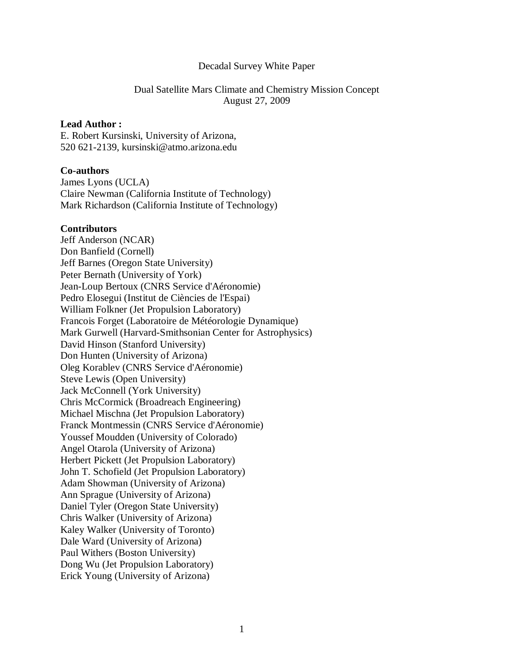## Decadal Survey White Paper

# Dual Satellite Mars Climate and Chemistry Mission Concept August 27, 2009

# **Lead Author :**

E. Robert Kursinski, University of Arizona, 520 621-2139, kursinski@atmo.arizona.edu

## **Co-authors**

James Lyons (UCLA) Claire Newman (California Institute of Technology) Mark Richardson (California Institute of Technology)

### **Contributors**

Jeff Anderson (NCAR) Don Banfield (Cornell) Jeff Barnes (Oregon State University) Peter Bernath (University of York) Jean-Loup Bertoux (CNRS Service d'Aéronomie) Pedro Elosegui (Institut de Ciències de l'Espai) William Folkner (Jet Propulsion Laboratory) Francois Forget (Laboratoire de Météorologie Dynamique) Mark Gurwell (Harvard-Smithsonian Center for Astrophysics) David Hinson (Stanford University) Don Hunten (University of Arizona) Oleg Korablev (CNRS Service d'Aéronomie) Steve Lewis (Open University) Jack McConnell (York University) Chris McCormick (Broadreach Engineering) Michael Mischna (Jet Propulsion Laboratory) Franck Montmessin (CNRS Service d'Aéronomie) Youssef Moudden (University of Colorado) Angel Otarola (University of Arizona) Herbert Pickett (Jet Propulsion Laboratory) John T. Schofield (Jet Propulsion Laboratory) Adam Showman (University of Arizona) Ann Sprague (University of Arizona) Daniel Tyler (Oregon State University) Chris Walker (University of Arizona) Kaley Walker (University of Toronto) Dale Ward (University of Arizona) Paul Withers (Boston University) Dong Wu (Jet Propulsion Laboratory) Erick Young (University of Arizona)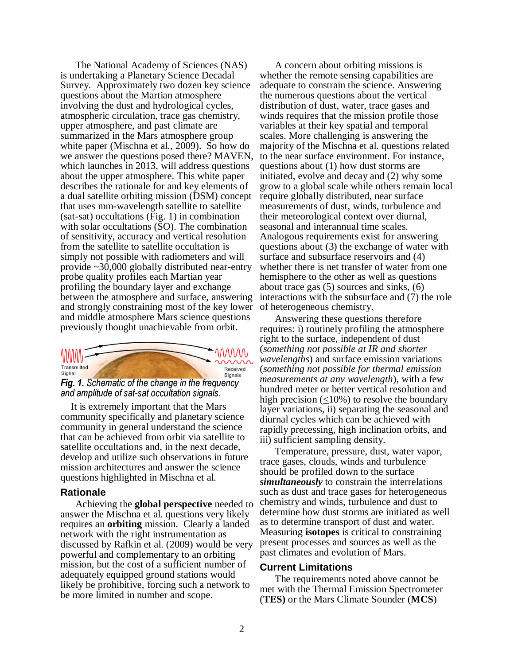The National Academy of Sciences (NAS) is undertaking a Planetary Science Decadal Survey. Approximately two dozen key science questions about the Martian atmosphere involving the dust and hydrological cycles, atmospheric circulation, trace gas chemistry, upper atmosphere, and past climate are summarized in the Mars atmosphere group white paper (Mischna et al., 2009). So how do we answer the questions posed there? MAVEN, which launches in 2013, will address questions about the upper atmosphere. This white paper describes the rationale for and key elements of a dual satellite orbiting mission (DSM) concept that uses mm-wavelength satellite to satellite (sat-sat) occultations (Fig. 1) in combination with solar occultations (SO). The combination of sensitivity, accuracy and vertical resolution from the satellite to satellite occultation is simply not possible with radiometers and will provide ~30,000 globally distributed near-entry probe quality profiles each Martian year profiling the boundary layer and exchange between the atmosphere and surface, answering and strongly constraining most of the key lower and middle atmosphere Mars science questions previously thought unachievable from orbit.



Fig. 1. Schematic of the change in the frequency and amplitude of sat-sat occultation signals.

It is extremely important that the Mars community specifically and planetary science community in general understand the science that can be achieved from orbit via satellite to satellite occultations and, in the next decade, develop and utilize such observations in future mission architectures and answer the science questions highlighted in Mischna et al.

# **Rationale**

Achieving the **global perspective** needed to answer the Mischna et al. questions very likely requires an **orbiting** mission. Clearly a landed network with the right instrumentation as discussed by Rafkin et al. (2009) would be very powerful and complementary to an orbiting mission, but the cost of a sufficient number of adequately equipped ground stations would likely be prohibitive, forcing such a network to be more limited in number and scope.

A concern about orbiting missions is whether the remote sensing capabilities are adequate to constrain the science. Answering the numerous questions about the vertical distribution of dust, water, trace gases and winds requires that the mission profile those variables at their key spatial and temporal scales. More challenging is answering the majority of the Mischna et al. questions related to the near surface environment. For instance, questions about (1) how dust storms are initiated, evolve and decay and (2) why some grow to a global scale while others remain local require globally distributed, near surface measurements of dust, winds, turbulence and their meteorological context over diurnal, seasonal and interannual time scales. Analogous requirements exist for answering questions about (3) the exchange of water with surface and subsurface reservoirs and (4) whether there is net transfer of water from one hemisphere to the other as well as questions about trace gas (5) sources and sinks, (6) interactions with the subsurface and (7) the role of heterogeneous chemistry.

Answering these questions therefore requires: i) routinely profiling the atmosphere right to the surface, independent of dust (*something not possible at IR and shorter wavelengths*) and surface emission variations (*something not possible for thermal emission measurements at any wavelength*), with a few hundred meter or better vertical resolution and high precision (<10%) to resolve the boundary layer variations, ii) separating the seasonal and diurnal cycles which can be achieved with rapidly precessing, high inclination orbits, and iii) sufficient sampling density.

Temperature, pressure, dust, water vapor, trace gases, clouds, winds and turbulence should be profiled down to the surface *simultaneously* to constrain the interrelations such as dust and trace gases for heterogeneous chemistry and winds, turbulence and dust to determine how dust storms are initiated as well as to determine transport of dust and water. Measuring **isotopes** is critical to constraining present processes and sources as well as the past climates and evolution of Mars.

#### **Current Limitations**

The requirements noted above cannot be met with the Thermal Emission Spectrometer (**TES)** or the Mars Climate Sounder (**MCS**)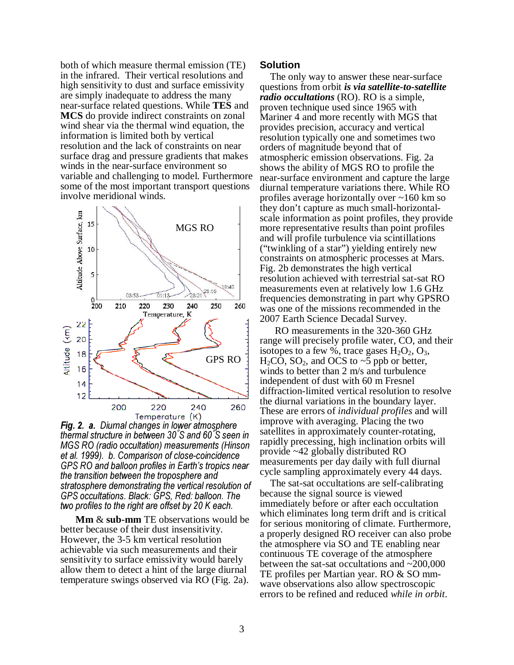both of which measure thermal emission (TE) in the infrared. Their vertical resolutions and high sensitivity to dust and surface emissivity are simply inadequate to address the many near-surface related questions. While **TES** and **MCS** do provide indirect constraints on zonal wind shear via the thermal wind equation, the information is limited both by vertical resolution and the lack of constraints on near surface drag and pressure gradients that makes winds in the near-surface environment so variable and challenging to model. Furthermore some of the most important transport questions involve meridional winds.



Fig. 2. a. Diurnal changes in lower atmosphere thermal structure in between 30° S and 60° S seen in MGS RO (radio occultation) measurements (Hinson et al. 1999). b. Comparison of close-coincidence GPS RO and balloon profiles in Earth's tropics near the transition between the troposphere and stratosphere demonstrating the vertical resolution of GPS occultations. Black: GPS, Red: balloon. The two profiles to the right are offset by 20 K each.

**Mm** & **sub-mm** TE observations would be better because of their dust insensitivity. However, the 3-5 km vertical resolution achievable via such measurements and their sensitivity to surface emissivity would barely allow them to detect a hint of the large diurnal temperature swings observed via RO (Fig. 2a).

## **Solution**

The only way to answer these near-surface questions from orbit *is via satellite-to-satellite radio occultations* (RO). RO is a simple, proven technique used since 1965 with Mariner 4 and more recently with MGS that provides precision, accuracy and vertical resolution typically one and sometimes two orders of magnitude beyond that of atmospheric emission observations. Fig. 2a shows the ability of MGS RO to profile the near-surface environment and capture the large diurnal temperature variations there. While RO profiles average horizontally over ~160 km so they don't capture as much small-horizontalscale information as point profiles, they provide more representative results than point profiles and will profile turbulence via scintillations ("twinkling of a star") yielding entirely new constraints on atmospheric processes at Mars. Fig. 2b demonstrates the high vertical resolution achieved with terrestrial sat-sat RO measurements even at relatively low 1.6 GHz frequencies demonstrating in part why GPSRO was one of the missions recommended in the 2007 Earth Science Decadal Survey.

 RO measurements in the 320-360 GHz range will precisely profile water, CO, and their isotopes to a few %, trace gases  $H_2O_2$ ,  $O_3$ ,  $H_2CO$ ,  $SO_2$ , and OCS to ~5 ppb or better, winds to better than 2 m/s and turbulence independent of dust with 60 m Fresnel diffraction-limited vertical resolution to resolve the diurnal variations in the boundary layer. These are errors of *individual profiles* and will improve with averaging. Placing the two satellites in approximately counter-rotating, rapidly precessing, high inclination orbits will provide ~42 globally distributed RO measurements per day daily with full diurnal cycle sampling approximately every 44 days.

The sat-sat occultations are self-calibrating because the signal source is viewed immediately before or after each occultation which eliminates long term drift and is critical for serious monitoring of climate. Furthermore, a properly designed RO receiver can also probe the atmosphere via SO and TE enabling near continuous TE coverage of the atmosphere between the sat-sat occultations and ~200,000 TE profiles per Martian year. RO & SO mmwave observations also allow spectroscopic errors to be refined and reduced *while in orbit*.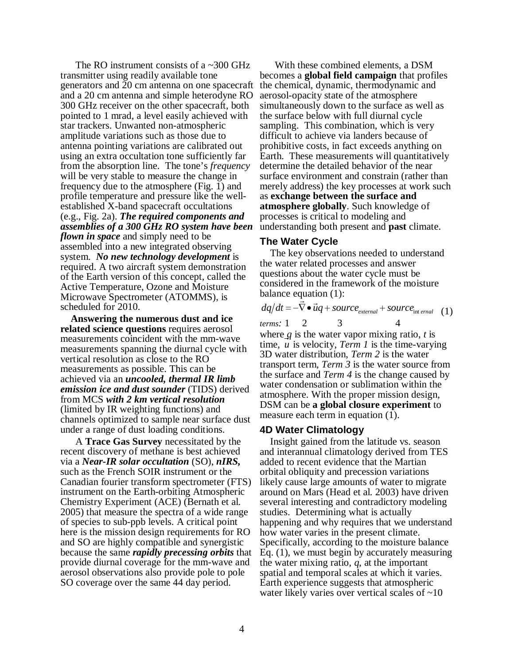The RO instrument consists of a ~300 GHz transmitter using readily available tone generators and 20 cm antenna on one spacecraft and a 20 cm antenna and simple heterodyne RO 300 GHz receiver on the other spacecraft, both pointed to 1 mrad, a level easily achieved with star trackers. Unwanted non-atmospheric amplitude variations such as those due to antenna pointing variations are calibrated out using an extra occultation tone sufficiently far from the absorption line. The tone's *frequency* will be very stable to measure the change in frequency due to the atmosphere (Fig. 1) and profile temperature and pressure like the wellestablished X-band spacecraft occultations (e.g., Fig. 2a). *The required components and assemblies of a 300 GHz RO system have been flown in space* and simply need to be assembled into a new integrated observing system. *No new technology development* is required. A two aircraft system demonstration of the Earth version of this concept, called the Active Temperature, Ozone and Moisture Microwave Spectrometer (ATOMMS), is scheduled for 2010.

**Answering the numerous dust and ice related science questions** requires aerosol measurements coincident with the mm-wave measurements spanning the diurnal cycle with vertical resolution as close to the RO measurements as possible. This can be achieved via an *uncooled, thermal IR limb emission ice and dust sounder* (TIDS) derived from MCS *with 2 km vertical resolution* (limited by IR weighting functions) and channels optimized to sample near surface dust under a range of dust loading conditions.

A **Trace Gas Survey** necessitated by the recent discovery of methane is best achieved via a *Near-IR solar occultation* (SO), *nIRS,* such as the French SOIR instrument or the Canadian fourier transform spectrometer (FTS) instrument on the Earth-orbiting Atmospheric Chemistry Experiment (ACE) (Bernath et al. 2005) that measure the spectra of a wide range of species to sub-ppb levels. A critical point here is the mission design requirements for RO and SO are highly compatible and synergistic because the same *rapidly precessing orbits* that provide diurnal coverage for the mm-wave and aerosol observations also provide pole to pole SO coverage over the same 44 day period.

With these combined elements, a DSM becomes a **global field campaign** that profiles the chemical, dynamic, thermodynamic and aerosol-opacity state of the atmosphere simultaneously down to the surface as well as the surface below with full diurnal cycle sampling. This combination, which is very difficult to achieve via landers because of prohibitive costs, in fact exceeds anything on Earth. These measurements will quantitatively determine the detailed behavior of the near surface environment and constrain (rather than merely address) the key processes at work such as **exchange between the surface and atmosphere globally**. Such knowledge of processes is critical to modeling and understanding both present and **past** climate.

### **The Water Cycle**

The key observations needed to understand the water related processes and answer questions about the water cycle must be considered in the framework of the moisture balance equation (1):

|                    |  | $dq/dt = -\nabla \cdot \vec{u}q + source_{external} + source_{int\,end}$ (1) |  |
|--------------------|--|------------------------------------------------------------------------------|--|
| terms: $1 \quad 2$ |  |                                                                              |  |

where *q* is the water vapor mixing ratio, *t* is time, *u* is velocity, *Term 1* is the time-varying 3D water distribution, *Term 2* is the water transport term, *Term 3* is the water source from the surface and *Term 4* is the change caused by water condensation or sublimation within the atmosphere. With the proper mission design, DSM can be **a global closure experiment** to measure each term in equation (1).

# **4D Water Climatology**

Insight gained from the latitude vs. season and interannual climatology derived from TES added to recent evidence that the Martian orbital obliquity and precession variations likely cause large amounts of water to migrate around on Mars (Head et al. 2003) have driven several interesting and contradictory modeling studies. Determining what is actually happening and why requires that we understand how water varies in the present climate. Specifically, according to the moisture balance Eq. (1), we must begin by accurately measuring the water mixing ratio, *q*, at the important spatial and temporal scales at which it varies. Earth experience suggests that atmospheric water likely varies over vertical scales of  $\sim 10$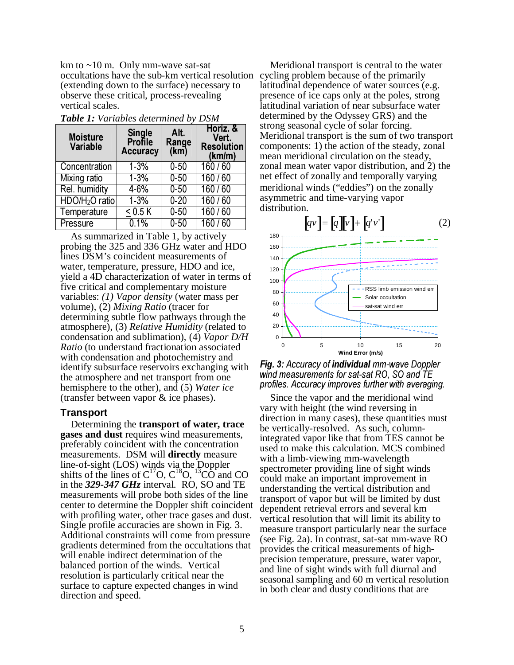km to  $\sim$ 10 m. Only mm-wave sat-sat occultations have the sub-km vertical resolution cycling problem because of the primarily (extending down to the surface) necessary to observe these critical, process-revealing vertical scales.

| <b>Moisture</b><br><b>Variable</b> | <b>Single</b><br><b>Profile</b><br><b>Accuracy</b> | Alt.<br>Range<br>(km) | Horiz, &<br>Vert.<br><b>Resolution</b><br>(km/m) |
|------------------------------------|----------------------------------------------------|-----------------------|--------------------------------------------------|
| Concentration                      | $1 - 3%$                                           | $0 - 50$              | 160/60                                           |
| <b>Mixing ratio</b>                | $1 - 3%$                                           | $0 - 50$              | 160/60                                           |
| Rel. humidity                      | $4 - 6%$                                           | $0 - 50$              | 160/60                                           |
| HDO/H <sub>2</sub> O ratio         | $1 - 3%$                                           | $0 - 20$              | 160/60                                           |
| Temperature                        | < 0.5 K                                            | $0 - 50$              | 160/60                                           |
| Pressure                           | 0.1%                                               | $0 - 50$              | 160/60                                           |

*Table 1: Variables determined by DSM* 

As summarized in Table 1, by actively probing the 325 and 336 GHz water and HDO lines DSM's coincident measurements of water, temperature, pressure, HDO and ice, yield a 4D characterization of water in terms of five critical and complementary moisture variables: *(1) Vapor density* (water mass per volume), (2) *Mixing Ratio* (tracer for determining subtle flow pathways through the atmosphere), (3) *Relative Humidity* (related to condensation and sublimation), (4) *Vapor D/H Ratio* (to understand fractionation associated with condensation and photochemistry and identify subsurface reservoirs exchanging with the atmosphere and net transport from one hemisphere to the other), and (5) *Water ice* (transfer between vapor & ice phases).

#### **Transport**

Determining the **transport of water, trace gases and dust** requires wind measurements, preferably coincident with the concentration measurements. DSM will **directly** measure line-of-sight (LOS) winds via the Doppler shifts of the lines of  $C^{17}O$ ,  $C^{18}O$ ,  $^{13}CO$  and CO in the *329-347 GHz* interval. RO, SO and TE measurements will probe both sides of the line center to determine the Doppler shift coincident with profiling water, other trace gases and dust. Single profile accuracies are shown in Fig. 3. Additional constraints will come from pressure gradients determined from the occultations that will enable indirect determination of the balanced portion of the winds. Vertical resolution is particularly critical near the surface to capture expected changes in wind direction and speed.

Meridional transport is central to the water latitudinal dependence of water sources (e.g. presence of ice caps only at the poles, strong latitudinal variation of near subsurface water determined by the Odyssey GRS) and the strong seasonal cycle of solar forcing. Meridional transport is the sum of two transport components: 1) the action of the steady, zonal mean meridional circulation on the steady, zonal mean water vapor distribution, and 2) the net effect of zonally and temporally varying meridional winds ("eddies") on the zonally asymmetric and time-varying vapor distribution.



Fig. 3: Accuracy of individual mm-wave Doppler wind measurements for sat-sat RO, SO and TE profiles. Accuracy improves further with averaging.

Since the vapor and the meridional wind vary with height (the wind reversing in direction in many cases), these quantities must be vertically-resolved. As such, columnintegrated vapor like that from TES cannot be used to make this calculation. MCS combined with a limb-viewing mm-wavelength spectrometer providing line of sight winds could make an important improvement in understanding the vertical distribution and transport of vapor but will be limited by dust dependent retrieval errors and several km vertical resolution that will limit its ability to measure transport particularly near the surface (see Fig. 2a). In contrast, sat-sat mm-wave RO provides the critical measurements of highprecision temperature, pressure, water vapor, and line of sight winds with full diurnal and seasonal sampling and 60 m vertical resolution in both clear and dusty conditions that are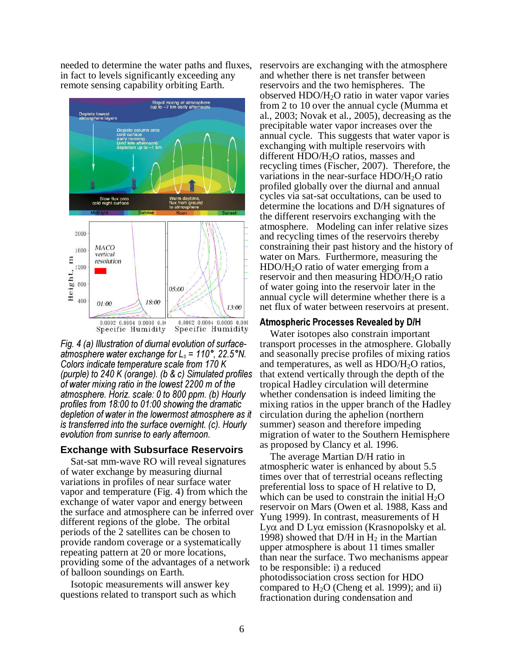needed to determine the water paths and fluxes, in fact to levels significantly exceeding any remote sensing capability orbiting Earth.



Fig. 4 (a) Illustration of diurnal evolution of surfaceatmosphere water exchange for  $L_s = 110^\circ$ , 22.5°N. Colors indicate temperature scale from 170 K (purple) to 240 K (orange). (b & c) Simulated profiles of water mixing ratio in the lowest 2200 m of the atmosphere. Horiz. scale: 0 to 800 ppm. (b) Hourly profiles from 18:00 to 01:00 showing the dramatic depletion of water in the lowermost atmosphere as it is transferred into the surface overnight. (c). Hourly evolution from sunrise to early afternoon.

# **Exchange with Subsurface Reservoirs**

Sat-sat mm-wave RO will reveal signatures of water exchange by measuring diurnal variations in profiles of near surface water vapor and temperature (Fig. 4) from which the exchange of water vapor and energy between the surface and atmosphere can be inferred over different regions of the globe. The orbital periods of the 2 satellites can be chosen to provide random coverage or a systematically repeating pattern at 20 or more locations, providing some of the advantages of a network of balloon soundings on Earth.

Isotopic measurements will answer key questions related to transport such as which reservoirs are exchanging with the atmosphere and whether there is net transfer between reservoirs and the two hemispheres. The observed HDO/H2O ratio in water vapor varies from 2 to 10 over the annual cycle (Mumma et al., 2003; Novak et al., 2005), decreasing as the precipitable water vapor increases over the annual cycle. This suggests that water vapor is exchanging with multiple reservoirs with different HDO/H2O ratios, masses and recycling times (Fischer, 2007). Therefore, the variations in the near-surface HDO/H2O ratio profiled globally over the diurnal and annual cycles via sat-sat occultations, can be used to determine the locations and D/H signatures of the different reservoirs exchanging with the atmosphere. Modeling can infer relative sizes and recycling times of the reservoirs thereby constraining their past history and the history of water on Mars. Furthermore, measuring the HDO/H2O ratio of water emerging from a reservoir and then measuring HDO/H2O ratio of water going into the reservoir later in the annual cycle will determine whether there is a net flux of water between reservoirs at present.

### Atmospheric Processes Revealed by D/H

Water isotopes also constrain important transport processes in the atmosphere. Globally and seasonally precise profiles of mixing ratios and temperatures, as well as HDO/H2O ratios, that extend vertically through the depth of the tropical Hadley circulation will determine whether condensation is indeed limiting the mixing ratios in the upper branch of the Hadley circulation during the aphelion (northern summer) season and therefore impeding migration of water to the Southern Hemisphere as proposed by Clancy et al. 1996.

The average Martian D/H ratio in atmospheric water is enhanced by about 5.5 times over that of terrestrial oceans reflecting preferential loss to space of H relative to D, which can be used to constrain the initial  $H_2O$ reservoir on Mars (Owen et al. 1988, Kass and Yung 1999). In contrast, measurements of H Lyα and D Lyα emission (Krasnopolsky et al. 1998) showed that  $D/H$  in  $H_2$  in the Martian upper atmosphere is about 11 times smaller than near the surface. Two mechanisms appear to be responsible: i) a reduced photodissociation cross section for HDO compared to  $H_2O$  (Cheng et al. 1999); and ii) fractionation during condensation and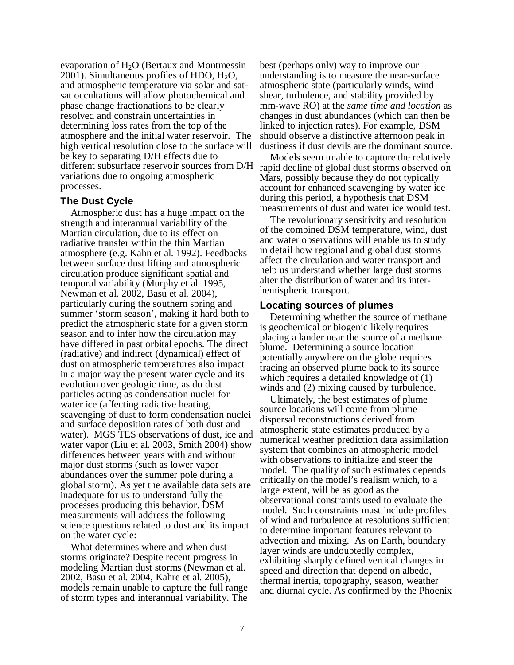evaporation of H2O (Bertaux and Montmessin 2001). Simultaneous profiles of HDO,  $H_2O$ , and atmospheric temperature via solar and satsat occultations will allow photochemical and phase change fractionations to be clearly resolved and constrain uncertainties in determining loss rates from the top of the atmosphere and the initial water reservoir. The high vertical resolution close to the surface will be key to separating D/H effects due to different subsurface reservoir sources from D/H variations due to ongoing atmospheric processes.

# **The Dust Cycle**

Atmospheric dust has a huge impact on the strength and interannual variability of the Martian circulation, due to its effect on radiative transfer within the thin Martian atmosphere (e.g. Kahn et al. 1992). Feedbacks between surface dust lifting and atmospheric circulation produce significant spatial and temporal variability (Murphy et al. 1995, Newman et al. 2002, Basu et al. 2004), particularly during the southern spring and summer 'storm season', making it hard both to predict the atmospheric state for a given storm season and to infer how the circulation may have differed in past orbital epochs. The direct (radiative) and indirect (dynamical) effect of dust on atmospheric temperatures also impact in a major way the present water cycle and its evolution over geologic time, as do dust particles acting as condensation nuclei for water ice (affecting radiative heating, scavenging of dust to form condensation nuclei and surface deposition rates of both dust and water). MGS TES observations of dust, ice and water vapor (Liu et al. 2003, Smith 2004) show differences between years with and without major dust storms (such as lower vapor abundances over the summer pole during a global storm). As yet the available data sets are inadequate for us to understand fully the processes producing this behavior. DSM measurements will address the following science questions related to dust and its impact on the water cycle:

What determines where and when dust storms originate? Despite recent progress in modeling Martian dust storms (Newman et al. 2002, Basu et al. 2004, Kahre et al. 2005), models remain unable to capture the full range of storm types and interannual variability. The

best (perhaps only) way to improve our understanding is to measure the near-surface atmospheric state (particularly winds, wind shear, turbulence, and stability provided by mm-wave RO) at the *same time and location* as changes in dust abundances (which can then be linked to injection rates). For example, DSM should observe a distinctive afternoon peak in dustiness if dust devils are the dominant source.

Models seem unable to capture the relatively rapid decline of global dust storms observed on Mars, possibly because they do not typically account for enhanced scavenging by water ice during this period, a hypothesis that DSM measurements of dust and water ice would test.

The revolutionary sensitivity and resolution of the combined DSM temperature, wind, dust and water observations will enable us to study in detail how regional and global dust storms affect the circulation and water transport and help us understand whether large dust storms alter the distribution of water and its interhemispheric transport.

# **Locating sources of plumes**

Determining whether the source of methane is geochemical or biogenic likely requires placing a lander near the source of a methane plume. Determining a source location potentially anywhere on the globe requires tracing an observed plume back to its source which requires a detailed knowledge of (1) winds and (2) mixing caused by turbulence.

Ultimately, the best estimates of plume source locations will come from plume dispersal reconstructions derived from atmospheric state estimates produced by a numerical weather prediction data assimilation system that combines an atmospheric model with observations to initialize and steer the model. The quality of such estimates depends critically on the model's realism which, to a large extent, will be as good as the observational constraints used to evaluate the model. Such constraints must include profiles of wind and turbulence at resolutions sufficient to determine important features relevant to advection and mixing. As on Earth, boundary layer winds are undoubtedly complex, exhibiting sharply defined vertical changes in speed and direction that depend on albedo, thermal inertia, topography, season, weather and diurnal cycle. As confirmed by the Phoenix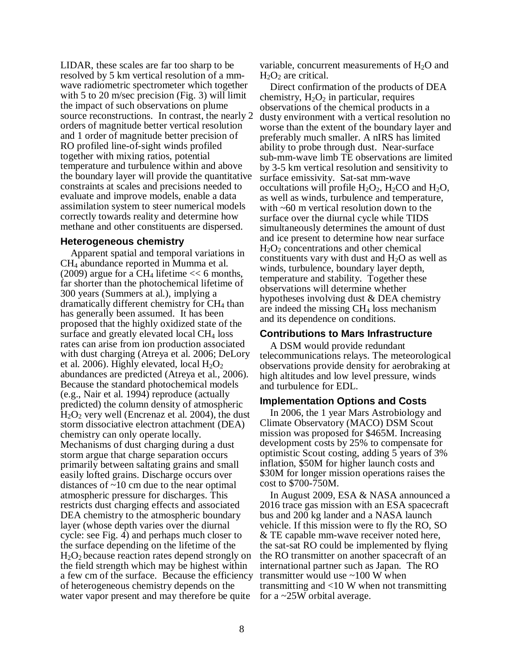LIDAR, these scales are far too sharp to be resolved by 5 km vertical resolution of a mmwave radiometric spectrometer which together with 5 to 20 m/sec precision (Fig. 3) will limit the impact of such observations on plume source reconstructions. In contrast, the nearly 2 orders of magnitude better vertical resolution and 1 order of magnitude better precision of RO profiled line-of-sight winds profiled together with mixing ratios, potential temperature and turbulence within and above the boundary layer will provide the quantitative constraints at scales and precisions needed to evaluate and improve models, enable a data assimilation system to steer numerical models correctly towards reality and determine how methane and other constituents are dispersed.

#### **Heterogeneous chemistry**

Apparent spatial and temporal variations in CH4 abundance reported in Mumma et al. (2009) argue for a CH<sub>4</sub> lifetime  $<< 6$  months, far shorter than the photochemical lifetime of 300 years (Summers at al.), implying a dramatically different chemistry for CH<sub>4</sub> than has generally been assumed. It has been proposed that the highly oxidized state of the surface and greatly elevated local  $CH<sub>4</sub>$  loss rates can arise from ion production associated with dust charging (Atreya et al. 2006; DeLory et al. 2006). Highly elevated, local  $H_2O_2$ abundances are predicted (Atreya et al., 2006). Because the standard photochemical models (e.g., Nair et al. 1994) reproduce (actually predicted) the column density of atmospheric  $H<sub>2</sub>O<sub>2</sub>$  very well (Encrenaz et al. 2004), the dust storm dissociative electron attachment (DEA) chemistry can only operate locally. Mechanisms of dust charging during a dust storm argue that charge separation occurs primarily between saltating grains and small easily lofted grains. Discharge occurs over distances of ~10 cm due to the near optimal atmospheric pressure for discharges. This restricts dust charging effects and associated DEA chemistry to the atmospheric boundary layer (whose depth varies over the diurnal cycle: see Fig. 4) and perhaps much closer to the surface depending on the lifetime of the  $H<sub>2</sub>O<sub>2</sub>$  because reaction rates depend strongly on the field strength which may be highest within a few cm of the surface. Because the efficiency of heterogeneous chemistry depends on the water vapor present and may therefore be quite

variable, concurrent measurements of  $H_2O$  and  $H<sub>2</sub>O<sub>2</sub>$  are critical.

Direct confirmation of the products of DEA chemistry,  $H_2O_2$  in particular, requires observations of the chemical products in a dusty environment with a vertical resolution no worse than the extent of the boundary layer and preferably much smaller. A nIRS has limited ability to probe through dust. Near-surface sub-mm-wave limb TE observations are limited by 3-5 km vertical resolution and sensitivity to surface emissivity. Sat-sat mm-wave occultations will profile  $H_2O_2$ ,  $H_2CO$  and  $H_2O$ , as well as winds, turbulence and temperature, with ~60 m vertical resolution down to the surface over the diurnal cycle while TIDS simultaneously determines the amount of dust and ice present to determine how near surface  $H_2O_2$  concentrations and other chemical constituents vary with dust and  $H_2O$  as well as winds, turbulence, boundary layer depth, temperature and stability. Together these observations will determine whether hypotheses involving dust & DEA chemistry are indeed the missing  $CH<sub>4</sub>$  loss mechanism and its dependence on conditions.

# **Contributions to Mars Infrastructure**

A DSM would provide redundant telecommunications relays. The meteorological observations provide density for aerobraking at high altitudes and low level pressure, winds and turbulence for EDL.

# **Implementation Options and Costs**

In 2006, the 1 year Mars Astrobiology and Climate Observatory (MACO) DSM Scout mission was proposed for \$465M. Increasing development costs by 25% to compensate for optimistic Scout costing, adding 5 years of 3% inflation, \$50M for higher launch costs and \$30M for longer mission operations raises the cost to \$700-750M.

In August 2009, ESA & NASA announced a 2016 trace gas mission with an ESA spacecraft bus and 200 kg lander and a NASA launch vehicle. If this mission were to fly the RO, SO & TE capable mm-wave receiver noted here, the sat-sat RO could be implemented by flying the RO transmitter on another spacecraft of an international partner such as Japan. The RO transmitter would use ~100 W when transmitting and <10 W when not transmitting for a ~25W orbital average.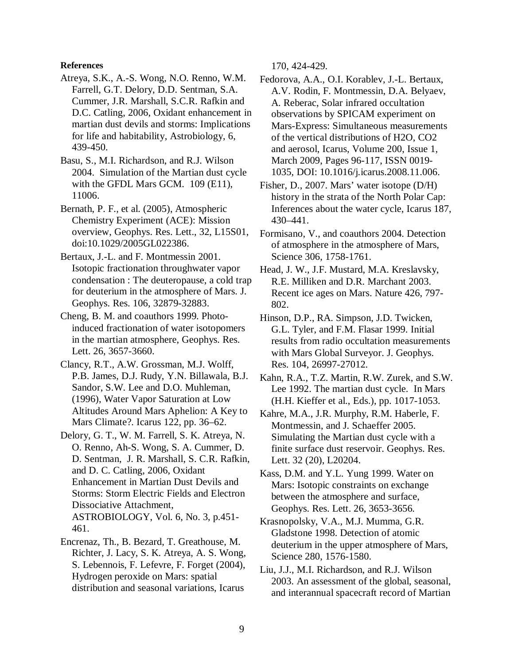#### **References**

- Atreya, S.K., A.-S. Wong, N.O. Renno, W.M. Farrell, G.T. Delory, D.D. Sentman, S.A. Cummer, J.R. Marshall, S.C.R. Rafkin and D.C. Catling, 2006, Oxidant enhancement in martian dust devils and storms: Implications for life and habitability, Astrobiology, 6, 439-450.
- Basu, S., M.I. Richardson, and R.J. Wilson 2004. Simulation of the Martian dust cycle with the GFDL Mars GCM. 109 (E11), 11006.
- Bernath, P. F., et al. (2005), Atmospheric Chemistry Experiment (ACE): Mission overview, Geophys. Res. Lett., 32, L15S01, doi:10.1029/2005GL022386.
- Bertaux, J.-L. and F. Montmessin 2001. Isotopic fractionation throughwater vapor condensation : The deuteropause, a cold trap for deuterium in the atmosphere of Mars. J. Geophys. Res. 106, 32879-32883.
- Cheng, B. M. and coauthors 1999. Photoinduced fractionation of water isotopomers in the martian atmosphere, Geophys. Res. Lett. 26, 3657-3660.
- Clancy, R.T., A.W. Grossman, M.J. Wolff, P.B. James, D.J. Rudy, Y.N. Billawala, B.J. Sandor, S.W. Lee and D.O. Muhleman, (1996), Water Vapor Saturation at Low Altitudes Around Mars Aphelion: A Key to Mars Climate?. Icarus 122, pp. 36–62.
- Delory, G. T., W. M. Farrell, S. K. Atreya, N. O. Renno, Ah-S. Wong, S. A. Cummer, D. D. Sentman, J. R. Marshall, S. C.R. Rafkin, and D. C. Catling, 2006, Oxidant Enhancement in Martian Dust Devils and Storms: Storm Electric Fields and Electron Dissociative Attachment, ASTROBIOLOGY, Vol. 6, No. 3, p.451- 461.
- Encrenaz, Th., B. Bezard, T. Greathouse, M. Richter, J. Lacy, S. K. Atreya, A. S. Wong, S. Lebennois, F. Lefevre, F. Forget (2004), Hydrogen peroxide on Mars: spatial distribution and seasonal variations, Icarus

170, 424-429.

- Fedorova, A.A., O.I. Korablev, J.-L. Bertaux, A.V. Rodin, F. Montmessin, D.A. Belyaev, A. Reberac, Solar infrared occultation observations by SPICAM experiment on Mars-Express: Simultaneous measurements of the vertical distributions of H2O, CO2 and aerosol, Icarus, Volume 200, Issue 1, March 2009, Pages 96-117, ISSN 0019- 1035, DOI: 10.1016/j.icarus.2008.11.006.
- Fisher, D., 2007. Mars' water isotope (D/H) history in the strata of the North Polar Cap: Inferences about the water cycle, Icarus 187, 430–441.
- Formisano, V., and coauthors 2004. Detection of atmosphere in the atmosphere of Mars, Science 306, 1758-1761.
- Head, J. W., J.F. Mustard, M.A. Kreslavsky, R.E. Milliken and D.R. Marchant 2003. Recent ice ages on Mars. Nature 426, 797- 802.
- Hinson, D.P., RA. Simpson, J.D. Twicken, G.L. Tyler, and F.M. Flasar 1999. Initial results from radio occultation measurements with Mars Global Surveyor. J. Geophys. Res. 104, 26997-27012.
- Kahn, R.A., T.Z. Martin, R.W. Zurek, and S.W. Lee 1992. The martian dust cycle. In Mars (H.H. Kieffer et al., Eds.), pp. 1017-1053.
- Kahre, M.A., J.R. Murphy, R.M. Haberle, F. Montmessin, and J. Schaeffer 2005. Simulating the Martian dust cycle with a finite surface dust reservoir. Geophys. Res. Lett. 32 (20), L20204.
- Kass, D.M. and Y.L. Yung 1999. Water on Mars: Isotopic constraints on exchange between the atmosphere and surface, Geophys. Res. Lett. 26, 3653-3656.
- Krasnopolsky, V.A., M.J. Mumma, G.R. Gladstone 1998. Detection of atomic deuterium in the upper atmosphere of Mars, Science 280, 1576-1580.
- Liu, J.J., M.I. Richardson, and R.J. Wilson 2003. An assessment of the global, seasonal, and interannual spacecraft record of Martian